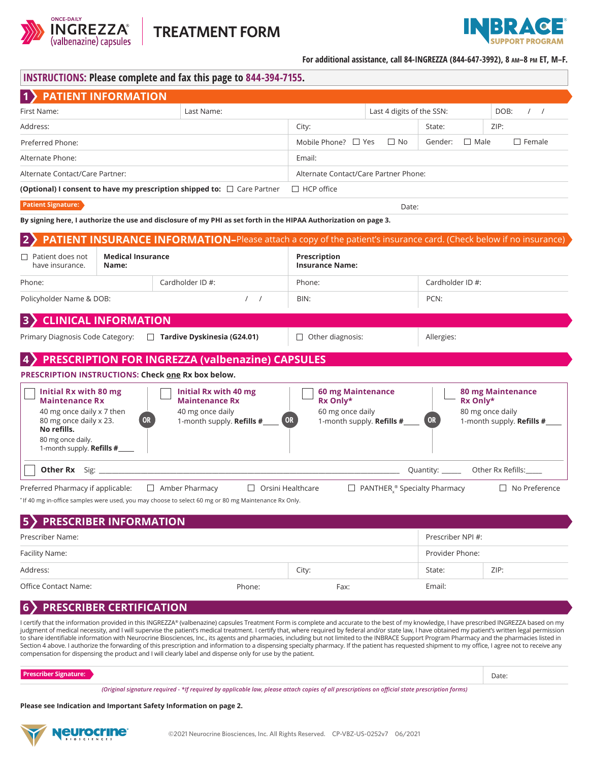



**For additional assistance, call 84-INGREZZA (844-647-3992), 8 am–8 pm ET, M–F.**

| <b>INSTRUCTIONS: Please complete and fax this page to 844-394-7155.</b> |  |
|-------------------------------------------------------------------------|--|
| 1) PATIENT INFORMATION                                                  |  |

| 1) PATIENT INFORMATION                                                                                                                                                 |                             |                                                                                                                          |                                                                                             |                                                      |                       |                                                                           |  |
|------------------------------------------------------------------------------------------------------------------------------------------------------------------------|-----------------------------|--------------------------------------------------------------------------------------------------------------------------|---------------------------------------------------------------------------------------------|------------------------------------------------------|-----------------------|---------------------------------------------------------------------------|--|
| First Name:                                                                                                                                                            | Last Name:                  |                                                                                                                          | Last 4 digits of the SSN:                                                                   |                                                      |                       | DOB:<br>$\left  \right $                                                  |  |
| Address:                                                                                                                                                               |                             |                                                                                                                          | City:                                                                                       |                                                      | State:                | ZIP:                                                                      |  |
| Preferred Phone:                                                                                                                                                       |                             |                                                                                                                          | Mobile Phone? $\Box$ Yes                                                                    | $\Box$ No<br>Gender:<br>$\Box$ Male<br>$\Box$ Female |                       |                                                                           |  |
| Alternate Phone:                                                                                                                                                       |                             |                                                                                                                          | Email:                                                                                      |                                                      |                       |                                                                           |  |
| Alternate Contact/Care Partner:                                                                                                                                        |                             |                                                                                                                          | Alternate Contact/Care Partner Phone:                                                       |                                                      |                       |                                                                           |  |
|                                                                                                                                                                        |                             | <b>(Optional) I consent to have my prescription shipped to:</b> $\Box$ Care Partner                                      | $\Box$ HCP office                                                                           |                                                      |                       |                                                                           |  |
| <b>Patient Signature:</b>                                                                                                                                              |                             | Date:                                                                                                                    |                                                                                             |                                                      |                       |                                                                           |  |
|                                                                                                                                                                        |                             | By signing here, I authorize the use and disclosure of my PHI as set forth in the HIPAA Authorization on page 3.         |                                                                                             |                                                      |                       |                                                                           |  |
|                                                                                                                                                                        |                             | <b>PATIENT INSURANCE INFORMATION-Please attach a copy of the patient's insurance card. (Check below if no insurance)</b> |                                                                                             |                                                      |                       |                                                                           |  |
| <b>Medical Insurance</b><br>$\Box$ Patient does not<br>have insurance.<br>Name:                                                                                        |                             |                                                                                                                          | Prescription<br><b>Insurance Name:</b>                                                      |                                                      |                       |                                                                           |  |
| Phone:                                                                                                                                                                 |                             | Cardholder ID #:                                                                                                         | Phone:                                                                                      |                                                      | Cardholder ID #:      |                                                                           |  |
| Policyholder Name & DOB:<br>$\prime$<br>$\prime$                                                                                                                       |                             |                                                                                                                          | BIN:                                                                                        | PCN:                                                 |                       |                                                                           |  |
| <b>B</b>                                                                                                                                                               | <b>CLINICAL INFORMATION</b> |                                                                                                                          |                                                                                             |                                                      |                       |                                                                           |  |
| Primary Diagnosis Code Category: □ Tardive Dyskinesia (G24.01)                                                                                                         |                             |                                                                                                                          | $\Box$ Other diagnosis:                                                                     |                                                      | Allergies:            |                                                                           |  |
|                                                                                                                                                                        |                             | <b>PRESCRIPTION FOR INGREZZA (valbenazine) CAPSULES</b>                                                                  |                                                                                             |                                                      |                       |                                                                           |  |
| <b>PRESCRIPTION INSTRUCTIONS: Check one Rx box below.</b>                                                                                                              |                             |                                                                                                                          |                                                                                             |                                                      |                       |                                                                           |  |
| Initial Rx with 80 mg<br><b>Maintenance Rx</b><br>40 mg once daily x 7 then<br>80 mg once daily x 23.<br>No refills.<br>80 mg once daily.<br>1-month supply. Refills # | <b>OR</b>                   | Initial Rx with 40 mg<br><b>Maintenance Rx</b><br>40 mg once daily<br>1-month supply. Refills #                          | 60 mg Maintenance<br>Rx Only*<br>60 mg once daily<br><b>OR</b><br>1-month supply. Refills # |                                                      | Rx Only*<br><b>OR</b> | <b>80 mg Maintenance</b><br>80 mg once daily<br>1-month supply. Refills # |  |
| Other Rx                                                                                                                                                               |                             |                                                                                                                          |                                                                                             |                                                      | Quantity: ______      | Other Rx Refills:                                                         |  |
| Preferred Pharmacy if applicable:                                                                                                                                      |                             | $\Box$ Amber Pharmacy<br>$\Box$ Orsini Healthcare                                                                        |                                                                                             | $\Box$ PANTHER $\degree$ Specialty Pharmacy          |                       | $\Box$ No Preference                                                      |  |

\* If 40 mg in-office samples were used, you may choose to select 60 mg or 80 mg Maintenance Rx Only.

#### **5 PRESCRIBER INFORMATION** Prescriber Name: Facility Name: Address: Prescriber NPI #: Provider Phone: City: State: ZIP:

Office Contact Name: The Contact Name: Phone: Fax: Fax: Email: Email: Phone: Fax: Email: Email: Email: Email: Email: Fax: Email: Email: Email: Phone: Fax: Email: Email: Phone: Phone: Phone: Phone: Phone: Phone: Phone: Phon

# **6 PRESCRIBER CERTIFICATION**

I certify that the information provided in this INGREZZA® (valbenazine) capsules Treatment Form is complete and accurate to the best of my knowledge, I have prescribed INGREZZA based on my judgment of medical necessity, and I will supervise the patient's medical treatment. I certify that, where required by federal and/or state law, I have obtained my patient's written legal permission to share identifiable information with Neurocrine Biosciences, Inc., its agents and pharmacies, including but not limited to the INBRACE Support Program Pharmacy and the pharmacies listed in Section 4 above. I authorize the forwarding of this prescription and information to a dispensing specialty pharmacy. If the patient has requested shipment to my office, I agree not to receive any compensation for dispensing the product and I will clearly label and dispense only for use by the patient.

**Prescriber Signature:**

Date:

*(Original signature required - \*If required by applicable law, please attach copies of all prescriptions on official state prescription forms)*

**Please see Indication and Important Safety Information on page 2.**

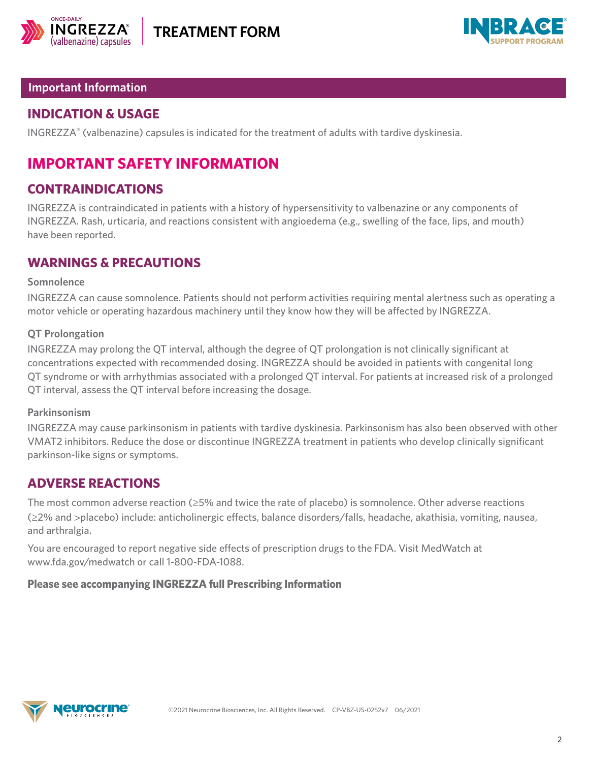



## **Important Information**

# **INDICATION & USAGE**

INGREZZA**®** (valbenazine) capsules is indicated for the treatment of adults with tardive dyskinesia.

# **IMPORTANT SAFETY INFORMATION**

# **CONTRAINDICATIONS**

INGREZZA is contraindicated in patients with a history of hypersensitivity to valbenazine or any components of INGREZZA. Rash, urticaria, and reactions consistent with angioedema (e.g., swelling of the face, lips, and mouth) have been reported.

# **WARNINGS & PRECAUTIONS**

### **Somnolence**

INGREZZA can cause somnolence. Patients should not perform activities requiring mental alertness such as operating a motor vehicle or operating hazardous machinery until they know how they will be affected by INGREZZA.

### **QT Prolongation**

INGREZZA may prolong the QT interval, although the degree of QT prolongation is not clinically significant at concentrations expected with recommended dosing. INGREZZA should be avoided in patients with congenital long QT syndrome or with arrhythmias associated with a prolonged QT interval. For patients at increased risk of a prolonged QT interval, assess the QT interval before increasing the dosage.

### **Parkinsonism**

INGREZZA may cause parkinsonism in patients with tardive dyskinesia. Parkinsonism has also been observed with other VMAT2 inhibitors. Reduce the dose or discontinue INGREZZA treatment in patients who develop clinically significant parkinson-like signs or symptoms.

# **ADVERSE REACTIONS**

The most common adverse reaction (≥5% and twice the rate of placebo) is somnolence. Other adverse reactions (≥2% and >placebo) include: anticholinergic effects, balance disorders/falls, headache, akathisia, vomiting, nausea, and arthralgia.

You are encouraged to report negative side effects of prescription drugs to the FDA. Visit MedWatch at www.fda.gov/medwatch or call 1-800-FDA-1088.

### **Please see accompanying INGREZZA full [Prescribing Information](https://www.neurocrine.com/ingrezzapi)**